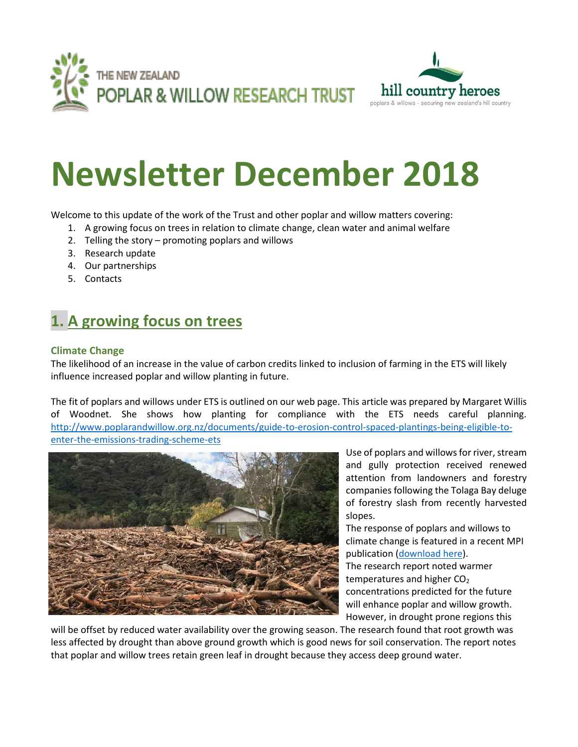



# **Newsletter December 2018**

Welcome to this update of the work of the Trust and other poplar and willow matters covering:

- 1. A growing focus on trees in relation to climate change, clean water and animal welfare
- 2. Telling the story promoting poplars and willows
- 3. Research update
- 4. Our partnerships
- 5. Contacts

## **1. A growing focus on trees**

#### **Climate Change**

The likelihood of an increase in the value of carbon credits linked to inclusion of farming in the ETS will likely influence increased poplar and willow planting in future.

The fit of poplars and willows under ETS is outlined on our web page. This article was prepared by Margaret Willis of Woodnet. She shows how planting for compliance with the ETS needs careful planning. [http://www.poplarandwillow.org.nz/documents/guide-to-erosion-control-spaced-plantings-being-eligible-to](http://www.poplarandwillow.org.nz/documents/guide-to-erosion-control-spaced-plantings-being-eligible-to-enter-the-emissions-trading-scheme-ets)[enter-the-emissions-trading-scheme-ets](http://www.poplarandwillow.org.nz/documents/guide-to-erosion-control-spaced-plantings-being-eligible-to-enter-the-emissions-trading-scheme-ets)



Use of poplars and willows for river, stream and gully protection received renewed attention from landowners and forestry companies following the Tolaga Bay deluge of forestry slash from recently harvested slopes.

The response of poplars and willows to climate change is featured in a recent MPI publication [\(download here\)](http://www.mpi.govt.nz/dmsdocument/28248-novel-poplars-and-willow-adapted-to-climate-change-final-report/loggedin). The research report noted warmer temperatures and higher CO<sub>2</sub> concentrations predicted for the future will enhance poplar and willow growth. However, in drought prone regions this

will be offset by reduced water availability over the growing season. The research found that root growth was less affected by drought than above ground growth which is good news for soil conservation. The report notes that poplar and willow trees retain green leaf in drought because they access deep ground water.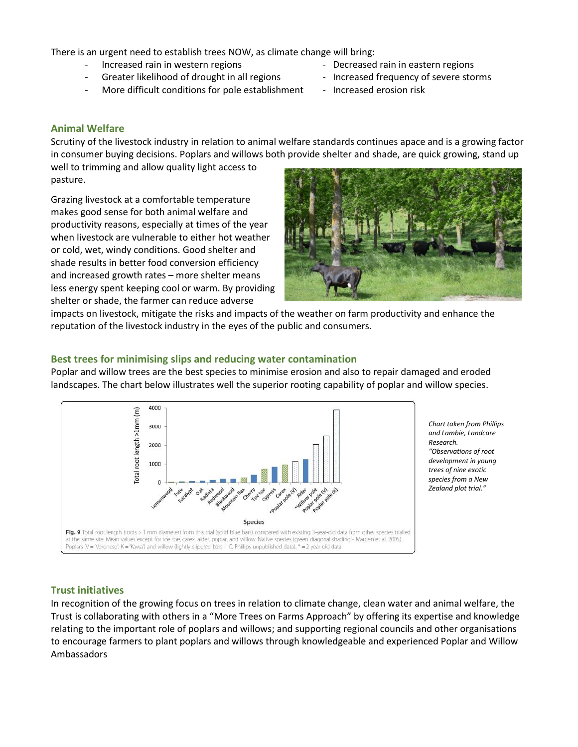There is an urgent need to establish trees NOW, as climate change will bring:

- 
- Greater likelihood of drought in all regions Increased frequency of severe storms
- More difficult conditions for pole establishment Increased erosion risk
- Increased rain in western regions **Fig. 2.1 CEC** Decreased rain in eastern regions
	-
	-

#### **Animal Welfare**

Scrutiny of the livestock industry in relation to animal welfare standards continues apace and is a growing factor in consumer buying decisions. Poplars and willows both provide shelter and shade, are quick growing, stand up

well to trimming and allow quality light access to pasture.

Grazing livestock at a comfortable temperature makes good sense for both animal welfare and productivity reasons, especially at times of the year when livestock are vulnerable to either hot weather or cold, wet, windy conditions. Good shelter and shade results in better food conversion efficiency and increased growth rates – more shelter means less energy spent keeping cool or warm. By providing shelter or shade, the farmer can reduce adverse



impacts on livestock, mitigate the risks and impacts of the weather on farm productivity and enhance the reputation of the livestock industry in the eyes of the public and consumers.

#### **Best trees for minimising slips and reducing water contamination**

Poplar and willow trees are the best species to minimise erosion and also to repair damaged and eroded landscapes. The chart below illustrates well the superior rooting capability of poplar and willow species.



*Chart taken from Phillips and Lambie, Landcare Research. "Observations of root development in young trees of nine exotic species from a New Zealand plot trial."*

#### **Trust initiatives**

In recognition of the growing focus on trees in relation to climate change, clean water and animal welfare, the Trust is collaborating with others in a "More Trees on Farms Approach" by offering its expertise and knowledge relating to the important role of poplars and willows; and supporting regional councils and other organisations to encourage farmers to plant poplars and willows through knowledgeable and experienced Poplar and Willow Ambassadors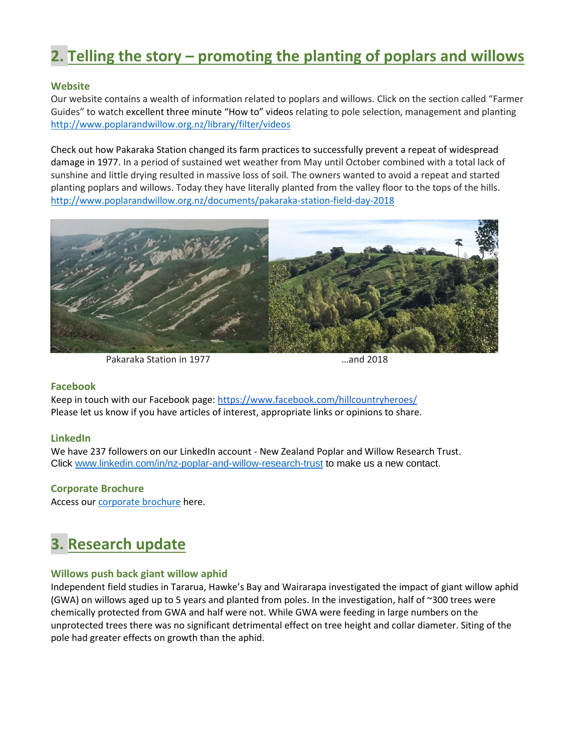### **2. Telling the story – promoting the planting of poplars and willows**

#### **Website**

Our website contains a wealth of information related to poplars and willows. Click on the section called "Farmer Guides" to watch excellent three minute "How to" videos relating to pole selection, management and planting <http://www.poplarandwillow.org.nz/library/filter/videos>

Check out how Pakaraka Station changed its farm practices to successfully prevent a repeat of widespread damage in 1977. In a period of sustained wet weather from May until October combined with a total lack of sunshine and little drying resulted in massive loss of soil. The owners wanted to avoid a repeat and started planting poplars and willows. Today they have literally planted from the valley floor to the tops of the hills. <http://www.poplarandwillow.org.nz/documents/pakaraka-station-field-day-2018>



Pakaraka Station in 1977 **Example 2018** metal and 2018

#### **Facebook**

Keep in touch with our Facebook page[: https://www.facebook.com/hillcountryheroes/](https://www.facebook.com/hillcountryheroes/) Please let us know if you have articles of interest, appropriate links or opinions to share.

#### **LinkedIn**

We have 237 followers on our LinkedIn account - New Zealand Poplar and Willow Research Trust. Click [www.linkedin.com/in/nz-poplar-and-willow-research-trust](http://www.linkedin.com/in/nz-poplar-and-willow-research-trust) to make us a new contact.

#### **Corporate Brochure**

Access our [corporate brochure](http://www.poplarandwillow.org.nz/documents/nzpwt-corporate-document.pdf) here.

## **3. Research update**

#### **Willows push back giant willow aphid**

Independent field studies in Tararua, Hawke's Bay and Wairarapa investigated the impact of giant willow aphid (GWA) on willows aged up to 5 years and planted from poles. In the investigation, half of ~300 trees were chemically protected from GWA and half were not. While GWA were feeding in large numbers on the unprotected trees there was no significant detrimental effect on tree height and collar diameter. Siting of the pole had greater effects on growth than the aphid.